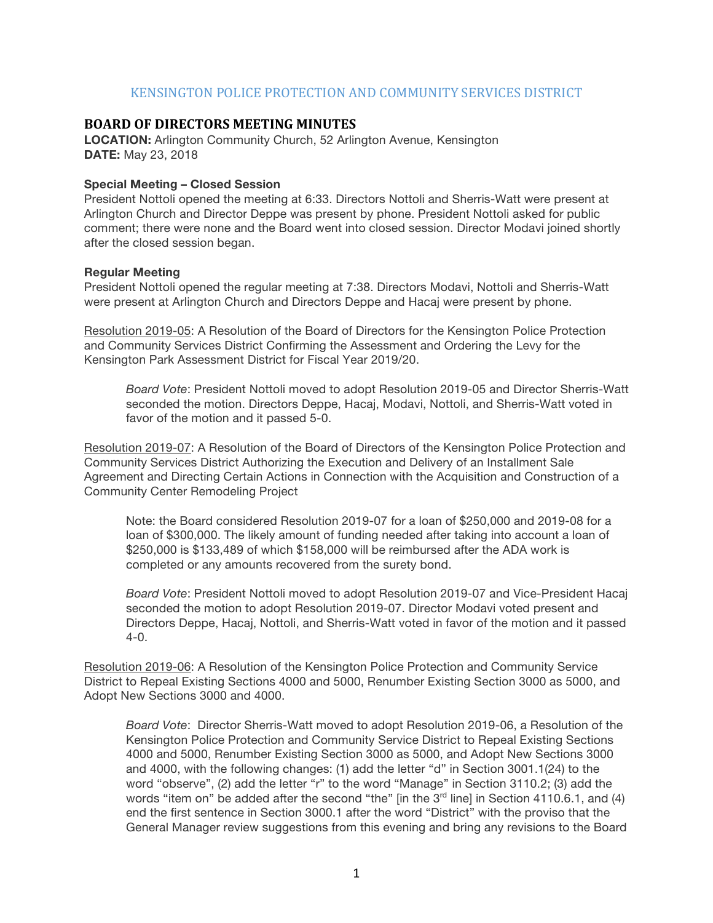## KENSINGTON POLICE PROTECTION AND COMMUNITY SERVICES DISTRICT

## **BOARD OF DIRECTORS MEETING MINUTES**

**LOCATION:** Arlington Community Church, 52 Arlington Avenue, Kensington **DATE:** May 23, 2018

## **Special Meeting – Closed Session**

President Nottoli opened the meeting at 6:33. Directors Nottoli and Sherris-Watt were present at Arlington Church and Director Deppe was present by phone. President Nottoli asked for public comment; there were none and the Board went into closed session. Director Modavi joined shortly after the closed session began.

## **Regular Meeting**

President Nottoli opened the regular meeting at 7:38. Directors Modavi, Nottoli and Sherris-Watt were present at Arlington Church and Directors Deppe and Hacaj were present by phone.

Resolution 2019-05: A Resolution of the Board of Directors for the Kensington Police Protection and Community Services District Confirming the Assessment and Ordering the Levy for the Kensington Park Assessment District for Fiscal Year 2019/20.

*Board Vote*: President Nottoli moved to adopt Resolution 2019-05 and Director Sherris-Watt seconded the motion. Directors Deppe, Hacaj, Modavi, Nottoli, and Sherris-Watt voted in favor of the motion and it passed 5-0.

Resolution 2019-07: A Resolution of the Board of Directors of the Kensington Police Protection and Community Services District Authorizing the Execution and Delivery of an Installment Sale Agreement and Directing Certain Actions in Connection with the Acquisition and Construction of a Community Center Remodeling Project

Note: the Board considered Resolution 2019-07 for a loan of \$250,000 and 2019-08 for a loan of \$300,000. The likely amount of funding needed after taking into account a loan of \$250,000 is \$133,489 of which \$158,000 will be reimbursed after the ADA work is completed or any amounts recovered from the surety bond.

*Board Vote*: President Nottoli moved to adopt Resolution 2019-07 and Vice-President Hacaj seconded the motion to adopt Resolution 2019-07. Director Modavi voted present and Directors Deppe, Hacaj, Nottoli, and Sherris-Watt voted in favor of the motion and it passed  $4 - 0$ .

Resolution 2019-06: A Resolution of the Kensington Police Protection and Community Service District to Repeal Existing Sections 4000 and 5000, Renumber Existing Section 3000 as 5000, and Adopt New Sections 3000 and 4000.

*Board Vote*: Director Sherris-Watt moved to adopt Resolution 2019-06, a Resolution of the Kensington Police Protection and Community Service District to Repeal Existing Sections 4000 and 5000, Renumber Existing Section 3000 as 5000, and Adopt New Sections 3000 and 4000, with the following changes: (1) add the letter "d" in Section 3001.1(24) to the word "observe", (2) add the letter "r" to the word "Manage" in Section 3110.2; (3) add the words "item on" be added after the second "the" [in the  $3<sup>rd</sup>$  line] in Section 4110.6.1, and (4) end the first sentence in Section 3000.1 after the word "District" with the proviso that the General Manager review suggestions from this evening and bring any revisions to the Board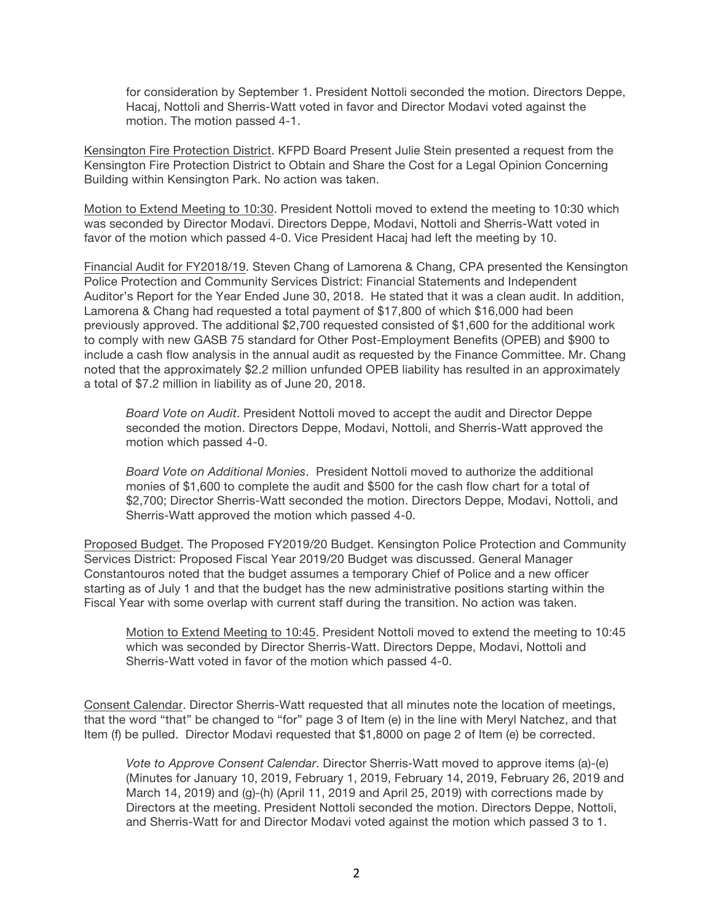for consideration by September 1. President Nottoli seconded the motion. Directors Deppe, Hacaj, Nottoli and Sherris-Watt voted in favor and Director Modavi voted against the motion. The motion passed 4-1.

Kensington Fire Protection District. KFPD Board Present Julie Stein presented a request from the Kensington Fire Protection District to Obtain and Share the Cost for a Legal Opinion Concerning Building within Kensington Park. No action was taken.

Motion to Extend Meeting to 10:30. President Nottoli moved to extend the meeting to 10:30 which was seconded by Director Modavi. Directors Deppe, Modavi, Nottoli and Sherris-Watt voted in favor of the motion which passed 4-0. Vice President Hacaj had left the meeting by 10.

Financial Audit for FY2018/19. Steven Chang of Lamorena & Chang, CPA presented the Kensington Police Protection and Community Services District: Financial Statements and Independent Auditor's Report for the Year Ended June 30, 2018. He stated that it was a clean audit. In addition, Lamorena & Chang had requested a total payment of \$17,800 of which \$16,000 had been previously approved. The additional \$2,700 requested consisted of \$1,600 for the additional work to comply with new GASB 75 standard for Other Post-Employment Benefits (OPEB) and \$900 to include a cash flow analysis in the annual audit as requested by the Finance Committee. Mr. Chang noted that the approximately \$2.2 million unfunded OPEB liability has resulted in an approximately a total of \$7.2 million in liability as of June 20, 2018.

*Board Vote on Audit*. President Nottoli moved to accept the audit and Director Deppe seconded the motion. Directors Deppe, Modavi, Nottoli, and Sherris-Watt approved the motion which passed 4-0.

*Board Vote on Additional Monies*. President Nottoli moved to authorize the additional monies of \$1,600 to complete the audit and \$500 for the cash flow chart for a total of \$2,700; Director Sherris-Watt seconded the motion. Directors Deppe, Modavi, Nottoli, and Sherris-Watt approved the motion which passed 4-0.

Proposed Budget. The Proposed FY2019/20 Budget. Kensington Police Protection and Community Services District: Proposed Fiscal Year 2019/20 Budget was discussed. General Manager Constantouros noted that the budget assumes a temporary Chief of Police and a new officer starting as of July 1 and that the budget has the new administrative positions starting within the Fiscal Year with some overlap with current staff during the transition. No action was taken.

Motion to Extend Meeting to 10:45. President Nottoli moved to extend the meeting to 10:45 which was seconded by Director Sherris-Watt. Directors Deppe, Modavi, Nottoli and Sherris-Watt voted in favor of the motion which passed 4-0.

Consent Calendar. Director Sherris-Watt requested that all minutes note the location of meetings, that the word "that" be changed to "for" page 3 of Item (e) in the line with Meryl Natchez, and that Item (f) be pulled. Director Modavi requested that \$1,8000 on page 2 of Item (e) be corrected.

*Vote to Approve Consent Calendar*. Director Sherris-Watt moved to approve items (a)-(e) (Minutes for January 10, 2019, February 1, 2019, February 14, 2019, February 26, 2019 and March 14, 2019) and (g)-(h) (April 11, 2019 and April 25, 2019) with corrections made by Directors at the meeting. President Nottoli seconded the motion. Directors Deppe, Nottoli, and Sherris-Watt for and Director Modavi voted against the motion which passed 3 to 1.